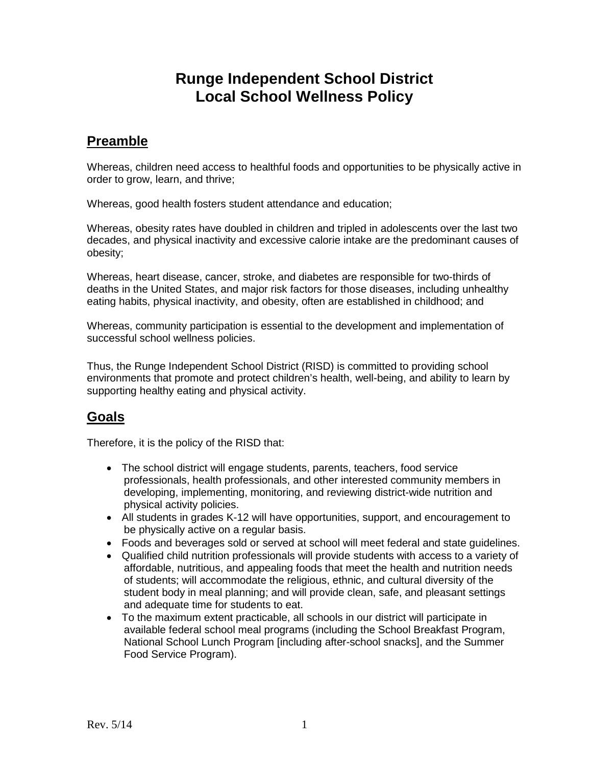# **Runge Independent School District Local School Wellness Policy**

### **Preamble**

Whereas, children need access to healthful foods and opportunities to be physically active in order to grow, learn, and thrive;

Whereas, good health fosters student attendance and education;

Whereas, obesity rates have doubled in children and tripled in adolescents over the last two decades, and physical inactivity and excessive calorie intake are the predominant causes of obesity;

Whereas, heart disease, cancer, stroke, and diabetes are responsible for two-thirds of deaths in the United States, and major risk factors for those diseases, including unhealthy eating habits, physical inactivity, and obesity, often are established in childhood; and

Whereas, community participation is essential to the development and implementation of successful school wellness policies.

Thus, the Runge Independent School District (RISD) is committed to providing school environments that promote and protect children's health, well-being, and ability to learn by supporting healthy eating and physical activity.

### **Goals**

Therefore, it is the policy of the RISD that:

- The school district will engage students, parents, teachers, food service professionals, health professionals, and other interested community members in developing, implementing, monitoring, and reviewing district-wide nutrition and physical activity policies.
- All students in grades K-12 will have opportunities, support, and encouragement to be physically active on a regular basis.
- Foods and beverages sold or served at school will meet federal and state guidelines.
- Qualified child nutrition professionals will provide students with access to a variety of affordable, nutritious, and appealing foods that meet the health and nutrition needs of students; will accommodate the religious, ethnic, and cultural diversity of the student body in meal planning; and will provide clean, safe, and pleasant settings and adequate time for students to eat.
- To the maximum extent practicable, all schools in our district will participate in available federal school meal programs (including the School Breakfast Program, National School Lunch Program [including after-school snacks], and the Summer Food Service Program).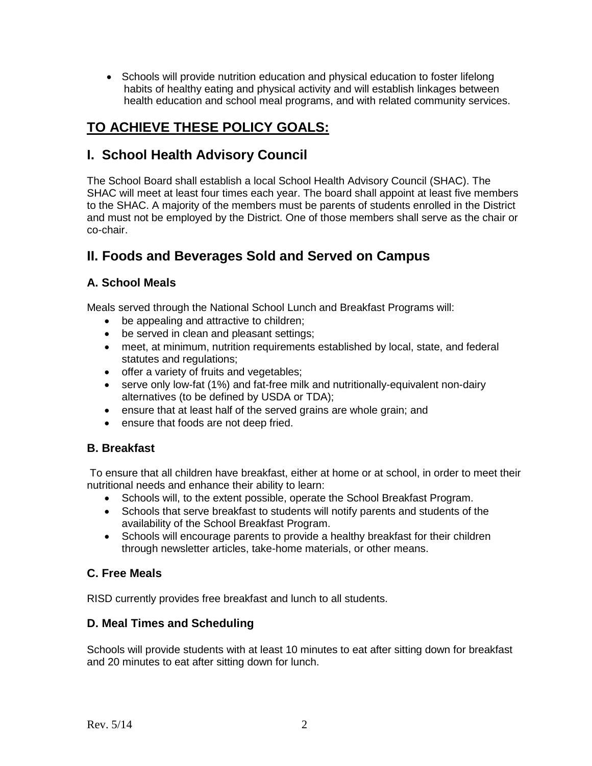• Schools will provide nutrition education and physical education to foster lifelong habits of healthy eating and physical activity and will establish linkages between health education and school meal programs, and with related community services.

# **TO ACHIEVE THESE POLICY GOALS:**

### **I. School Health Advisory Council**

The School Board shall establish a local School Health Advisory Council (SHAC). The SHAC will meet at least four times each year. The board shall appoint at least five members to the SHAC. A majority of the members must be parents of students enrolled in the District and must not be employed by the District. One of those members shall serve as the chair or co-chair.

## **II. Foods and Beverages Sold and Served on Campus**

#### **A. School Meals**

Meals served through the National School Lunch and Breakfast Programs will:

- be appealing and attractive to children;
- be served in clean and pleasant settings;
- meet, at minimum, nutrition requirements established by local, state, and federal statutes and regulations;
- offer a variety of fruits and vegetables;
- serve only low-fat (1%) and fat-free milk and nutritionally-equivalent non-dairy alternatives (to be defined by USDA or TDA);
- ensure that at least half of the served grains are whole grain; and
- ensure that foods are not deep fried.

#### **B. Breakfast**

To ensure that all children have breakfast, either at home or at school, in order to meet their nutritional needs and enhance their ability to learn:

- Schools will, to the extent possible, operate the School Breakfast Program.
- Schools that serve breakfast to students will notify parents and students of the availability of the School Breakfast Program.
- Schools will encourage parents to provide a healthy breakfast for their children through newsletter articles, take-home materials, or other means.

#### **C. Free Meals**

RISD currently provides free breakfast and lunch to all students.

#### **D. Meal Times and Scheduling**

Schools will provide students with at least 10 minutes to eat after sitting down for breakfast and 20 minutes to eat after sitting down for lunch.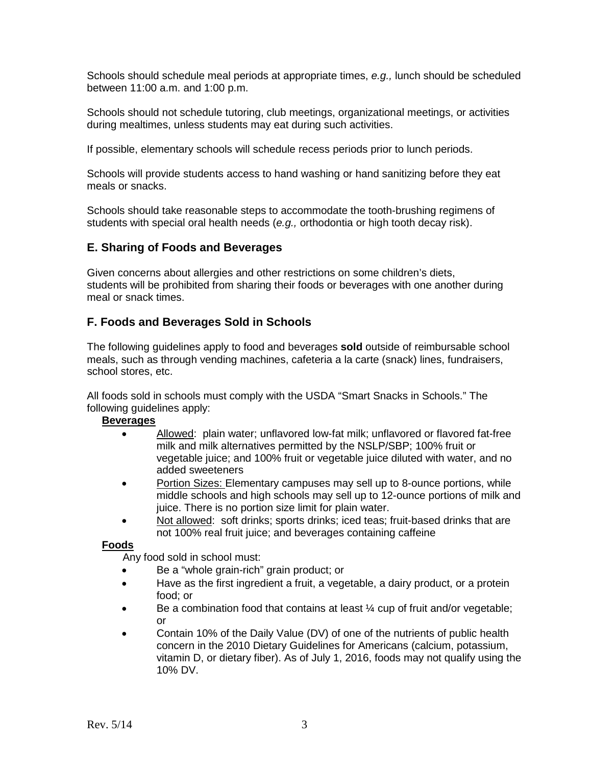Schools should schedule meal periods at appropriate times, *e.g.,* lunch should be scheduled between 11:00 a.m. and 1:00 p.m.

Schools should not schedule tutoring, club meetings, organizational meetings, or activities during mealtimes, unless students may eat during such activities.

If possible, elementary schools will schedule recess periods prior to lunch periods.

Schools will provide students access to hand washing or hand sanitizing before they eat meals or snacks.

Schools should take reasonable steps to accommodate the tooth-brushing regimens of students with special oral health needs (*e.g.,* orthodontia or high tooth decay risk).

#### **E. Sharing of Foods and Beverages**

Given concerns about allergies and other restrictions on some children's diets, students will be prohibited from sharing their foods or beverages with one another during meal or snack times.

#### **F. Foods and Beverages Sold in Schools**

The following guidelines apply to food and beverages **sold** outside of reimbursable school meals, such as through vending machines, cafeteria a la carte (snack) lines, fundraisers, school stores, etc.

All foods sold in schools must comply with the USDA "Smart Snacks in Schools." The following guidelines apply:

#### **Beverages**

- Allowed: plain water; unflavored low-fat milk; unflavored or flavored fat-free milk and milk alternatives permitted by the NSLP/SBP; 100% fruit or vegetable juice; and 100% fruit or vegetable juice diluted with water, and no added sweeteners
- Portion Sizes: Elementary campuses may sell up to 8-ounce portions, while middle schools and high schools may sell up to 12-ounce portions of milk and juice. There is no portion size limit for plain water.
- Not allowed: soft drinks; sports drinks; iced teas; fruit-based drinks that are not 100% real fruit juice; and beverages containing caffeine

#### **Foods**

Any food sold in school must:

- Be a "whole grain-rich" grain product; or
- Have as the first ingredient a fruit, a vegetable, a dairy product, or a protein food; or
- Be a combination food that contains at least ¼ cup of fruit and/or vegetable; or
- Contain 10% of the Daily Value (DV) of one of the nutrients of public health concern in the 2010 Dietary Guidelines for Americans (calcium, potassium, vitamin D, or dietary fiber). As of July 1, 2016, foods may not qualify using the 10% DV.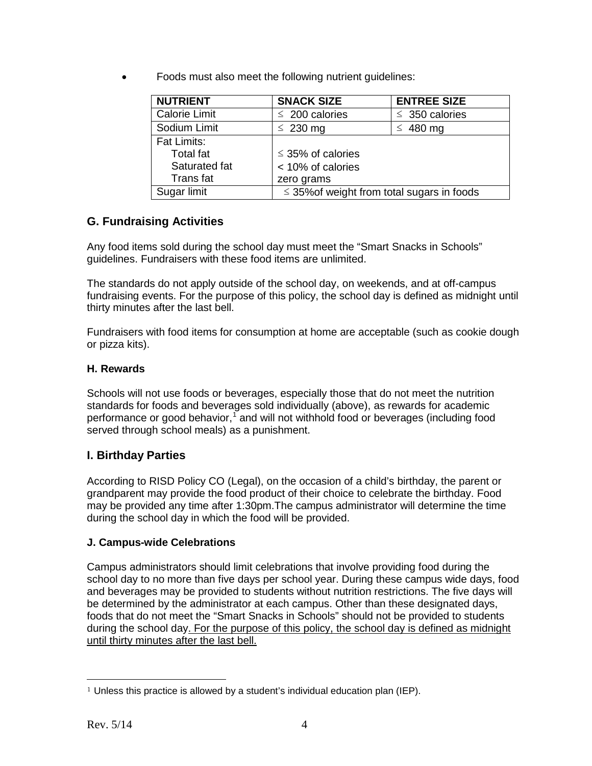• Foods must also meet the following nutrient guidelines:

| <b>NUTRIENT</b>      | <b>SNACK SIZE</b>                               | <b>ENTREE SIZE</b>  |
|----------------------|-------------------------------------------------|---------------------|
| <b>Calorie Limit</b> | $\leq 200$ calories                             | $\leq$ 350 calories |
| Sodium Limit         | $\leq 230$ mg                                   | $\leq$ 480 mg       |
| <b>Fat Limits:</b>   |                                                 |                     |
| <b>Total fat</b>     | $\leq$ 35% of calories                          |                     |
| Saturated fat        | < 10% of calories                               |                     |
| Trans fat            | zero grams                                      |                     |
| Sugar limit          | $\leq$ 35% of weight from total sugars in foods |                     |

### **G. Fundraising Activities**

Any food items sold during the school day must meet the "Smart Snacks in Schools" guidelines. Fundraisers with these food items are unlimited.

The standards do not apply outside of the school day, on weekends, and at off-campus fundraising events. For the purpose of this policy, the school day is defined as midnight until thirty minutes after the last bell.

Fundraisers with food items for consumption at home are acceptable (such as cookie dough or pizza kits).

#### **H. Rewards**

Schools will not use foods or beverages, especially those that do not meet the nutrition standards for foods and beverages sold individually (above), as rewards for academic performance or good behavior,<sup>[1](#page-3-0)</sup> and will not withhold food or beverages (including food served through school meals) as a punishment.

#### **I. Birthday Parties**

According to RISD Policy CO (Legal), on the occasion of a child's birthday, the parent or grandparent may provide the food product of their choice to celebrate the birthday. Food may be provided any time after 1:30pm.The campus administrator will determine the time during the school day in which the food will be provided.

#### **J. Campus-wide Celebrations**

Campus administrators should limit celebrations that involve providing food during the school day to no more than five days per school year. During these campus wide days, food and beverages may be provided to students without nutrition restrictions. The five days will be determined by the administrator at each campus. Other than these designated days, foods that do not meet the "Smart Snacks in Schools" should not be provided to students during the school day. For the purpose of this policy, the school day is defined as midnight until thirty minutes after the last bell.

<span id="page-3-0"></span> $\overline{a}$ <sup>1</sup> Unless this practice is allowed by a student's individual education plan (IEP).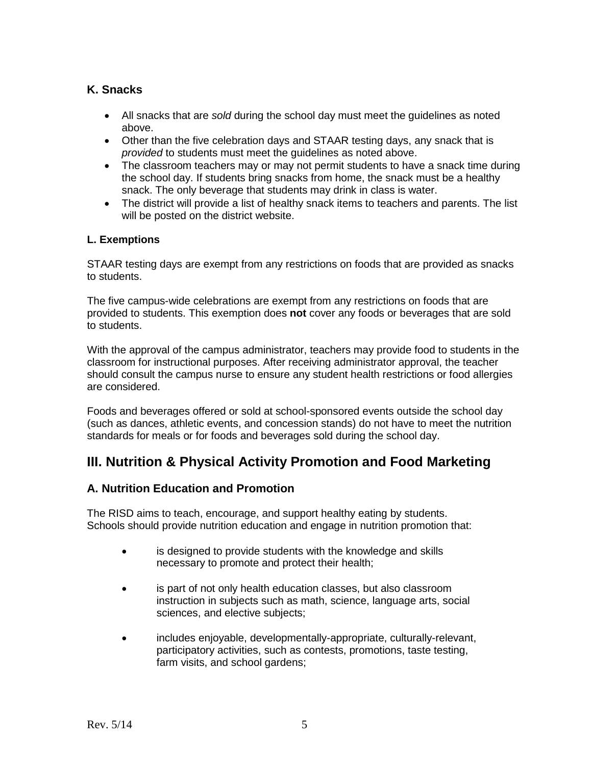#### **K. Snacks**

- All snacks that are *sold* during the school day must meet the guidelines as noted above.
- Other than the five celebration days and STAAR testing days, any snack that is *provided* to students must meet the guidelines as noted above.
- The classroom teachers may or may not permit students to have a snack time during the school day. If students bring snacks from home, the snack must be a healthy snack. The only beverage that students may drink in class is water.
- The district will provide a list of healthy snack items to teachers and parents. The list will be posted on the district website.

#### **L. Exemptions**

STAAR testing days are exempt from any restrictions on foods that are provided as snacks to students.

The five campus-wide celebrations are exempt from any restrictions on foods that are provided to students. This exemption does **not** cover any foods or beverages that are sold to students.

With the approval of the campus administrator, teachers may provide food to students in the classroom for instructional purposes. After receiving administrator approval, the teacher should consult the campus nurse to ensure any student health restrictions or food allergies are considered.

Foods and beverages offered or sold at school-sponsored events outside the school day (such as dances, athletic events, and concession stands) do not have to meet the nutrition standards for meals or for foods and beverages sold during the school day.

### **III. Nutrition & Physical Activity Promotion and Food Marketing**

#### **A. Nutrition Education and Promotion**

The RISD aims to teach, encourage, and support healthy eating by students. Schools should provide nutrition education and engage in nutrition promotion that:

- is designed to provide students with the knowledge and skills necessary to promote and protect their health;
- is part of not only health education classes, but also classroom instruction in subjects such as math, science, language arts, social sciences, and elective subjects;
- includes enjoyable, developmentally-appropriate, culturally-relevant, participatory activities, such as contests, promotions, taste testing, farm visits, and school gardens;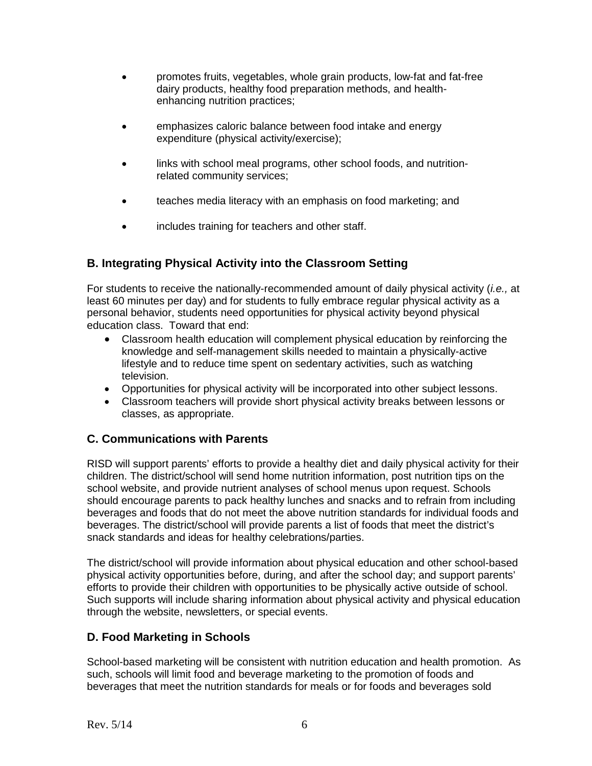- promotes fruits, vegetables, whole grain products, low-fat and fat-free dairy products, healthy food preparation methods, and healthenhancing nutrition practices;
- emphasizes caloric balance between food intake and energy expenditure (physical activity/exercise);
- links with school meal programs, other school foods, and nutritionrelated community services;
- teaches media literacy with an emphasis on food marketing; and
- includes training for teachers and other staff.

#### **B. Integrating Physical Activity into the Classroom Setting**

For students to receive the nationally-recommended amount of daily physical activity (*i.e.,* at least 60 minutes per day) and for students to fully embrace regular physical activity as a personal behavior, students need opportunities for physical activity beyond physical education class. Toward that end:

- Classroom health education will complement physical education by reinforcing the knowledge and self-management skills needed to maintain a physically-active lifestyle and to reduce time spent on sedentary activities, such as watching television.
- Opportunities for physical activity will be incorporated into other subject lessons.
- Classroom teachers will provide short physical activity breaks between lessons or classes, as appropriate.

#### **C. Communications with Parents**

RISD will support parents' efforts to provide a healthy diet and daily physical activity for their children. The district/school will send home nutrition information, post nutrition tips on the school website, and provide nutrient analyses of school menus upon request. Schools should encourage parents to pack healthy lunches and snacks and to refrain from including beverages and foods that do not meet the above nutrition standards for individual foods and beverages. The district/school will provide parents a list of foods that meet the district's snack standards and ideas for healthy celebrations/parties.

The district/school will provide information about physical education and other school-based physical activity opportunities before, during, and after the school day; and support parents' efforts to provide their children with opportunities to be physically active outside of school. Such supports will include sharing information about physical activity and physical education through the website, newsletters, or special events.

#### **D. Food Marketing in Schools**

School-based marketing will be consistent with nutrition education and health promotion. As such, schools will limit food and beverage marketing to the promotion of foods and beverages that meet the nutrition standards for meals or for foods and beverages sold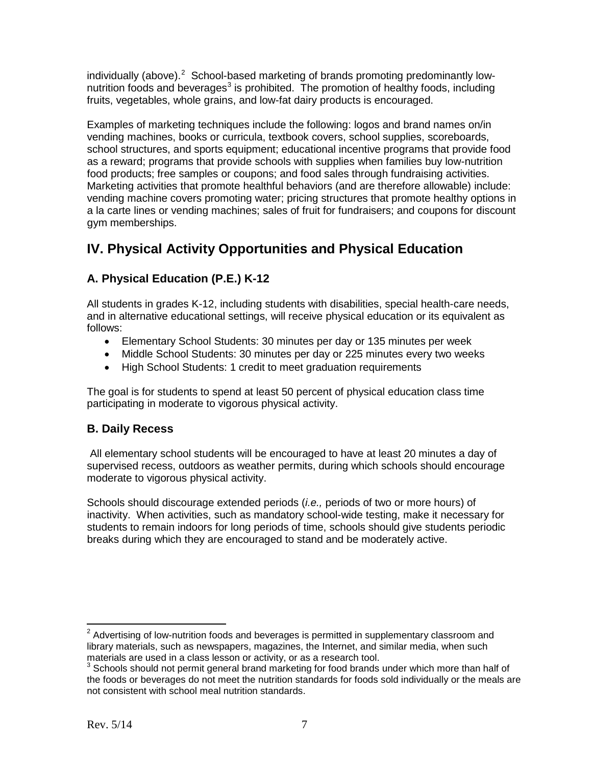individually (above).<sup>[2](#page-6-0)</sup> School-based marketing of brands promoting predominantly low-nutrition foods and beverages<sup>[3](#page-6-1)</sup> is prohibited. The promotion of healthy foods, including fruits, vegetables, whole grains, and low-fat dairy products is encouraged.

Examples of marketing techniques include the following: logos and brand names on/in vending machines, books or curricula, textbook covers, school supplies, scoreboards, school structures, and sports equipment; educational incentive programs that provide food as a reward; programs that provide schools with supplies when families buy low-nutrition food products; free samples or coupons; and food sales through fundraising activities. Marketing activities that promote healthful behaviors (and are therefore allowable) include: vending machine covers promoting water; pricing structures that promote healthy options in a la carte lines or vending machines; sales of fruit for fundraisers; and coupons for discount gym memberships.

# **IV. Physical Activity Opportunities and Physical Education**

### **A. Physical Education (P.E.) K-12**

All students in grades K-12, including students with disabilities, special health-care needs, and in alternative educational settings, will receive physical education or its equivalent as follows:

- Elementary School Students: 30 minutes per day or 135 minutes per week
- Middle School Students: 30 minutes per day or 225 minutes every two weeks
- High School Students: 1 credit to meet graduation requirements

The goal is for students to spend at least 50 percent of physical education class time participating in moderate to vigorous physical activity.

### **B. Daily Recess**

All elementary school students will be encouraged to have at least 20 minutes a day of supervised recess, outdoors as weather permits, during which schools should encourage moderate to vigorous physical activity.

Schools should discourage extended periods (*i.e.,* periods of two or more hours) of inactivity. When activities, such as mandatory school-wide testing, make it necessary for students to remain indoors for long periods of time, schools should give students periodic breaks during which they are encouraged to stand and be moderately active.

<span id="page-6-0"></span> $2$  Advertising of low-nutrition foods and beverages is permitted in supplementary classroom and library materials, such as newspapers, magazines, the Internet, and similar media, when such materials are used in a class lesson or activity, or as a research tool.

<span id="page-6-1"></span> $3$  Schools should not permit general brand marketing for food brands under which more than half of the foods or beverages do not meet the nutrition standards for foods sold individually or the meals are not consistent with school meal nutrition standards.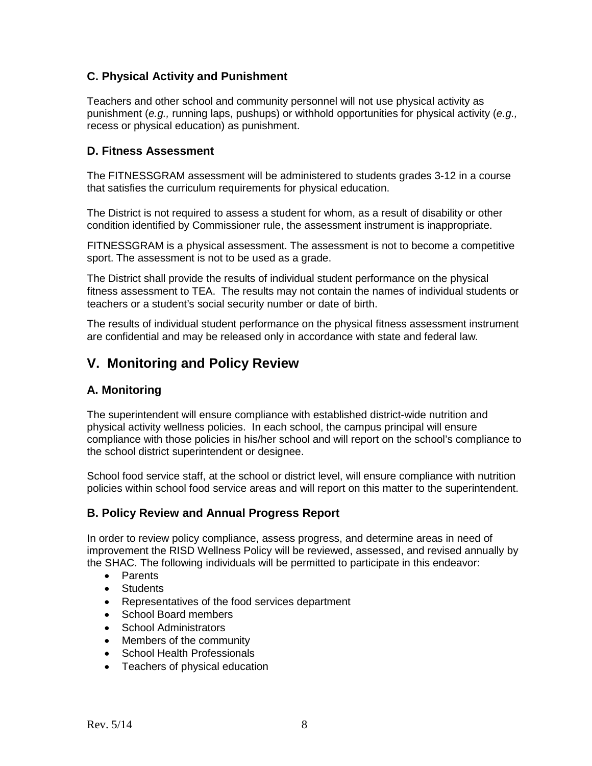#### **C. Physical Activity and Punishment**

Teachers and other school and community personnel will not use physical activity as punishment (*e.g.,* running laps, pushups) or withhold opportunities for physical activity (*e.g.,* recess or physical education) as punishment.

#### **D. Fitness Assessment**

The FITNESSGRAM assessment will be administered to students grades 3-12 in a course that satisfies the curriculum requirements for physical education.

The District is not required to assess a student for whom, as a result of disability or other condition identified by Commissioner rule, the assessment instrument is inappropriate.

FITNESSGRAM is a physical assessment. The assessment is not to become a competitive sport. The assessment is not to be used as a grade.

The District shall provide the results of individual student performance on the physical fitness assessment to TEA. The results may not contain the names of individual students or teachers or a student's social security number or date of birth.

The results of individual student performance on the physical fitness assessment instrument are confidential and may be released only in accordance with state and federal law.

## **V. Monitoring and Policy Review**

#### **A. Monitoring**

The superintendent will ensure compliance with established district-wide nutrition and physical activity wellness policies. In each school, the campus principal will ensure compliance with those policies in his/her school and will report on the school's compliance to the school district superintendent or designee.

School food service staff, at the school or district level, will ensure compliance with nutrition policies within school food service areas and will report on this matter to the superintendent.

#### **B. Policy Review and Annual Progress Report**

In order to review policy compliance, assess progress, and determine areas in need of improvement the RISD Wellness Policy will be reviewed, assessed, and revised annually by the SHAC. The following individuals will be permitted to participate in this endeavor:

- Parents
- Students
- Representatives of the food services department
- School Board members
- School Administrators
- Members of the community
- School Health Professionals
- Teachers of physical education